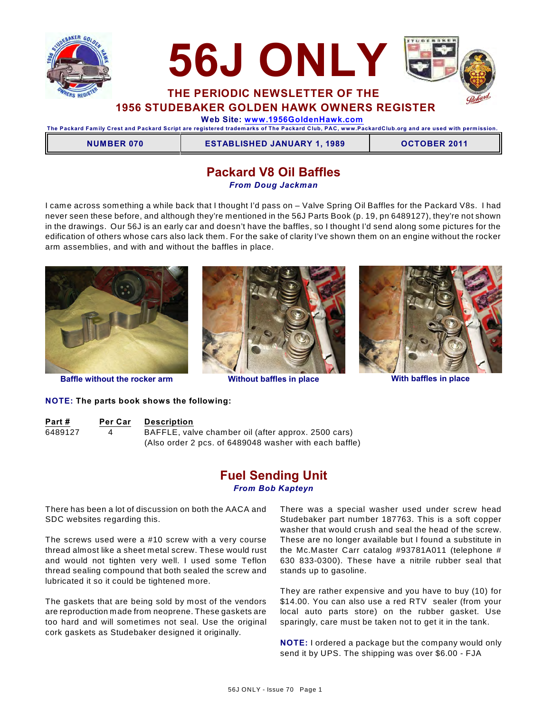



 **THE PERIODIC NEWSLETTER OF THE 1956 STUDEBAKER GOLDEN HAWK OWNERS REGISTER**

 **Web Site: [www.1956GoldenHawk.com](http://www.1956GoldenHawk.com)**

**The Packard Fam ily Crest and Packard Script are registered tradem arks of The Packard Club, PAC, www.PackardClub.org and are used with perm ission.** 

| <b>NUMBER 070</b> | <b>ESTABLISHED JANUARY 1, 1989</b> | <b>OCTOBER 2011</b> |
|-------------------|------------------------------------|---------------------|
|                   |                                    |                     |

# **Packard V8 Oil Baffles**

*From Doug Jackman*

I came across something a while back that I thought I'd pass on – Valve Spring Oil Baffles for the Packard V8s. I had never seen these before, and although they're mentioned in the 56J Parts Book (p. 19, pn 6489127), they're not shown in the drawings. Our 56J is an early car and doesn't have the baffles, so I thought I'd send along some pictures for the edification of others whose cars also lack them. For the sake of clarity I've shown them on an engine without the rocker arm assemblies, and with and without the baffles in place.







#### **NOTE: The parts book shows the following:**

**Part # Per Car Description**

6489127 4 BAFFLE, valve chamber oil (after approx. 2500 cars) (Also order 2 pcs. of 6489048 washer with each baffle)

## **Fuel Sending Unit** *From Bob Kapteyn*

There has been a lot of discussion on both the AACA and SDC websites regarding this.

The screws used were a #10 screw with a very course thread almost like a sheet metal screw. These would rust and would not tighten very well. I used some Teflon thread sealing compound that both sealed the screw and lubricated it so it could be tightened more.

The gaskets that are being sold by most of the vendors are reproduction made from neoprene. These gaskets are too hard and will sometimes not seal. Use the original cork gaskets as Studebaker designed it originally.

There was a special washer used under screw head Studebaker part number 187763. This is a soft copper washer that would crush and seal the head of the screw. These are no longer available but I found a substitute in the Mc.Master Carr catalog #93781A011 (telephone # 630 833-0300). These have a nitrile rubber seal that stands up to gasoline.

They are rather expensive and you have to buy (10) for \$14.00. You can also use a red RTV sealer (from your local auto parts store) on the rubber gasket. Use sparingly, care must be taken not to get it in the tank.

**NOTE:** I ordered a package but the company would only send it by UPS. The shipping was over \$6.00 - FJA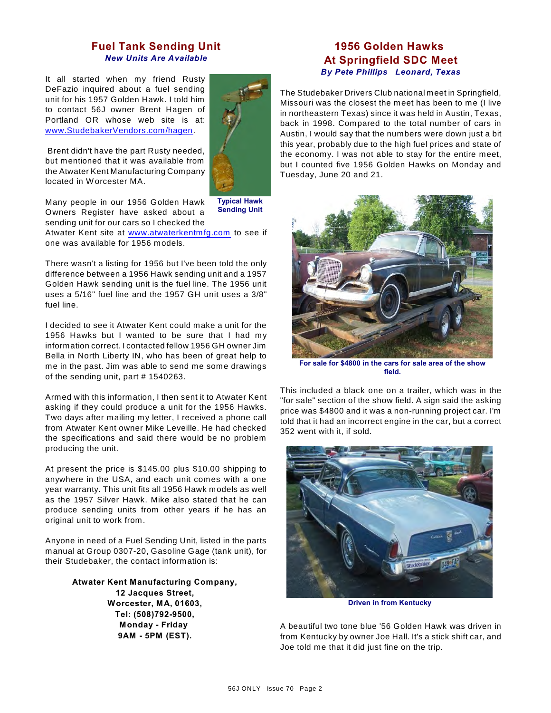## **Fuel Tank Sending Unit** *New Units Are Available*

It all started when my friend Rusty DeFazio inquired about a fuel sending unit for his 1957 Golden Hawk. I told him to contact 56J owner Brent Hagen of Portland OR whose web site is at: [www.StudebakerVendors.com/hagen](http://www.StudebakerVendors.com/hagen)).

 Brent didn't have the part Rusty needed, but mentioned that it was available from the Atwater Kent Manufacturing Company located in W orcester MA.



**Sending Unit**

Many people in our 1956 Golden Hawk Owners Register have asked about a sending unit for our cars so I checked the

Atwater Kent site at [www.atwaterkentmfg.com](http://www.atwaterkentmfg.com) to see if one was available for 1956 models.

There wasn't a listing for 1956 but I've been told the only difference between a 1956 Hawk sending unit and a 1957 Golden Hawk sending unit is the fuel line. The 1956 unit uses a 5/16" fuel line and the 1957 GH unit uses a 3/8" fuel line.

I decided to see it Atwater Kent could make a unit for the 1956 Hawks but I wanted to be sure that I had my information correct. I contacted fellow 1956 GH owner Jim Bella in North Liberty IN, who has been of great help to me in the past. Jim was able to send me some drawings of the sending unit, part # 1540263.

Armed with this information, I then sent it to Atwater Kent asking if they could produce a unit for the 1956 Hawks. Two days after mailing my letter, I received a phone call from Atwater Kent owner Mike Leveille. He had checked the specifications and said there would be no problem producing the unit.

At present the price is \$145.00 plus \$10.00 shipping to anywhere in the USA, and each unit comes with a one year warranty. This unit fits all 1956 Hawk models as well as the 1957 Silver Hawk. Mike also stated that he can produce sending units from other years if he has an original unit to work from.

Anyone in need of a Fuel Sending Unit, listed in the parts manual at Group 0307-20, Gasoline Gage (tank unit), for their Studebaker, the contact information is:

> **Atwater Kent Manufacturing Company, 12 Jacques Street, Worcester, MA, 01603, Tel: (508)792-9500, Monday - Friday 9AM - 5PM (EST).**

## **1956 Golden Hawks At Springfield SDC Meet** *By Pete Phillips Leonard, Texas*

The Studebaker Drivers Club national meet in Springfield, Missouri was the closest the meet has been to me (I live in northeastern Texas) since it was held in Austin, Texas, back in 1998. Compared to the total number of cars in Austin, I would say that the numbers were down just a bit this year, probably due to the high fuel prices and state of the economy. I was not able to stay for the entire meet, but I counted five 1956 Golden Hawks on Monday and Tuesday, June 20 and 21.



**For sale for \$4800 in the cars for sale area of the show field.**

This included a black one on a trailer, which was in the "for sale" section of the show field. A sign said the asking price was \$4800 and it was a non-running project car. I'm told that it had an incorrect engine in the car, but a correct 352 went with it, if sold.



**Driven in from Kentucky**

A beautiful two tone blue '56 Golden Hawk was driven in from Kentucky by owner Joe Hall. It's a stick shift car, and Joe told me that it did just fine on the trip.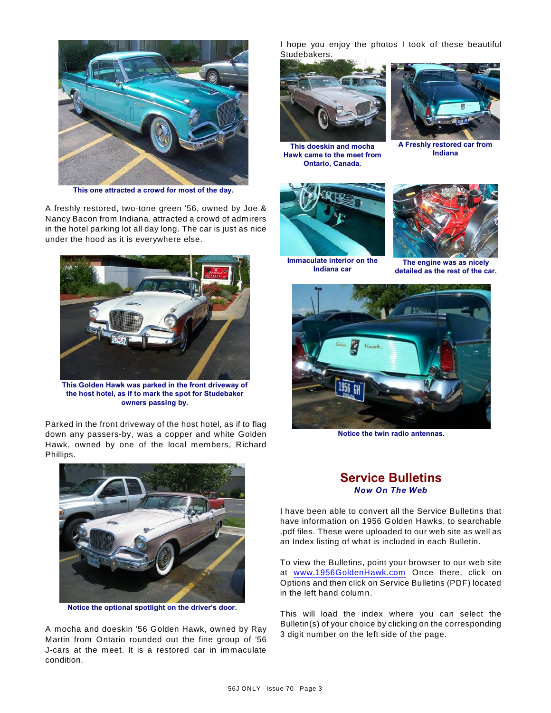

**This one attracted a crowd for most of the day.**

A freshly restored, two-tone green '56, owned by Joe & Nancy Bacon from Indiana, attracted a crowd of admirers in the hotel parking lot all day long. The car is just as nice under the hood as it is everywhere else.



**This Golden Hawk was parked in the front driveway of the host hotel, as if to mark the spot for Studebaker owners passing by.**

Parked in the front driveway of the host hotel, as if to flag down any passers-by, was a copper and white Golden Hawk, owned by one of the local members, Richard Phillips.



**Notice the optional spotlight on the driver's door.**

A mocha and doeskin '56 Golden Hawk, owned by Ray Martin from Ontario rounded out the fine group of '56 J-cars at the meet. It is a restored car in immaculate condition.

I hope you enjoy the photos I took of these beautiful Studebakers.



**This doeskin and mocha Hawk came to the meet from Ontario, Canada.**



**A Freshly restored car from Indiana**



**Immaculate interior on the Indiana car**



**The engine was as nicely detailed as the rest of the car.**



**Notice the twin radio antennas.**

## **Service Bulletins** *Now On The Web*

I have been able to convert all the Service Bulletins that have information on 1956 Golden Hawks, to searchable .pdf files. These were uploaded to our web site as well as an Index listing of what is included in each Bulletin.

To view the Bulletins, point your browser to our web site at [www.1956GoldenHawk.com](http://www.1956GoldenHawk.com.) Once there, click on Options and then click on Service Bulletins (PDF) located in the left hand column.

This will load the index where you can select the Bulletin(s) of your choice by clicking on the corresponding 3 digit number on the left side of the page.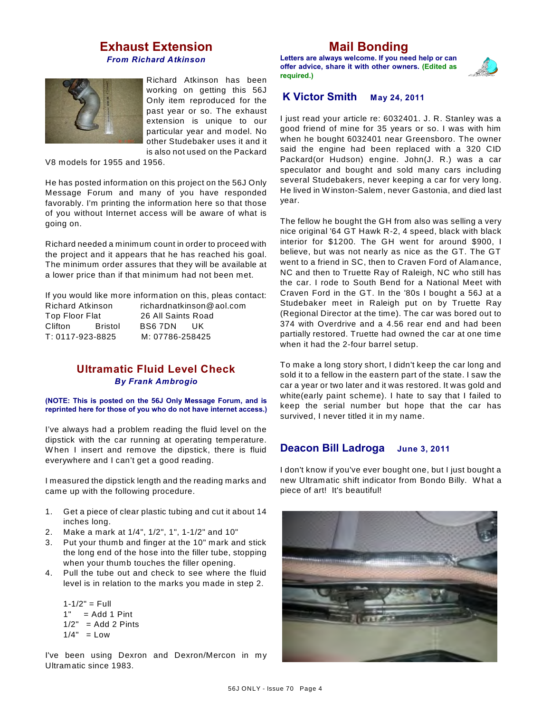### **Exhaust Extension** *From Richard Atkinson*



Richard Atkinson has been working on getting this 56J Only item reproduced for the past year or so. The exhaust extension is unique to our particular year and model. No other Studebaker uses it and it is also not used on the Packard

V8 models for 1955 and 1956.

He has posted information on this project on the 56J Only Message Forum and many of you have responded favorably. I'm printing the information here so that those of you without Internet access will be aware of what is going on.

Richard needed a minimum count in order to proceed with the project and it appears that he has reached his goal. The minimum order assures that they will be available at a lower price than if that minimum had not been met.

|                         | If you would like more information on this, pleas contact: |
|-------------------------|------------------------------------------------------------|
| <b>Richard Atkinson</b> | richardnatkinson@aol.com                                   |

|                  |         |                    | 11911010110111110011132011001 |
|------------------|---------|--------------------|-------------------------------|
| Top Floor Flat   |         | 26 All Saints Road |                               |
| Clifton          | Bristol | BS6 7DN            | . UK                          |
| T: 0117-923-8825 |         | M: 07786-258425    |                               |

#### **Ultramatic Fluid Level Check** *By Frank Ambrogio*

#### **(NOTE: This is posted on the 56J Only Message Forum, and is reprinted here for those of you who do not have internet access.)**

I've always had a problem reading the fluid level on the dipstick with the car running at operating temperature. When I insert and remove the dipstick, there is fluid everywhere and I can't get a good reading.

I measured the dipstick length and the reading marks and came up with the following procedure.

- 1. Get a piece of clear plastic tubing and cut it about 14 inches long.
- 2. Make a mark at 1/4", 1/2", 1", 1-1/2" and 10"
- 3. Put your thumb and finger at the 10" mark and stick the long end of the hose into the filler tube, stopping when your thumb touches the filler opening.
- 4. Pull the tube out and check to see where the fluid level is in relation to the marks you made in step 2.

 $1 - 1/2" = Full$  $1" = Add 1 Pint$  $1/2" = Add 2 Pints$  $1/4" = Low$ 

I've been using Dexron and Dexron/Mercon in my Ultramatic since 1983.

## **Mail Bonding**

**Letters are always welcome. If you need help or can offer advice, share it with other owners. (Edited as required.)**



## **K Victor Smith May 24, 2011**

I just read your article re: 6032401. J. R. Stanley was a good friend of mine for 35 years or so. I was with him when he bought 6032401 near Greensboro. The owner said the engine had been replaced with a 320 CID Packard(or Hudson) engine. John(J. R.) was a car speculator and bought and sold many cars including several Studebakers, never keeping a car for very long. He lived in W inston-Salem, never Gastonia, and died last year.

The fellow he bought the GH from also was selling a very nice original '64 GT Hawk R-2, 4 speed, black with black interior for \$1200. The GH went for around \$900, I believe, but was not nearly as nice as the GT. The GT went to a friend in SC, then to Craven Ford of Alamance, NC and then to Truette Ray of Raleigh, NC who still has the car. I rode to South Bend for a National Meet with Craven Ford in the GT. In the '80s I bought a 56J at a Studebaker meet in Raleigh put on by Truette Ray (Regional Director at the time). The car was bored out to 374 with Overdrive and a 4.56 rear end and had been partially restored. Truette had owned the car at one time when it had the 2-four barrel setup.

To make a long story short, I didn't keep the car long and sold it to a fellow in the eastern part of the state. I saw the car a year or two later and it was restored. It was gold and white(early paint scheme). I hate to say that I failed to keep the serial number but hope that the car has survived, I never titled it in my name.

### **Deacon Bill Ladroga June 3, 2011**

I don't know if you've ever bought one, but I just bought a new Ultramatic shift indicator from Bondo Billy. W hat a piece of art! It's beautiful!

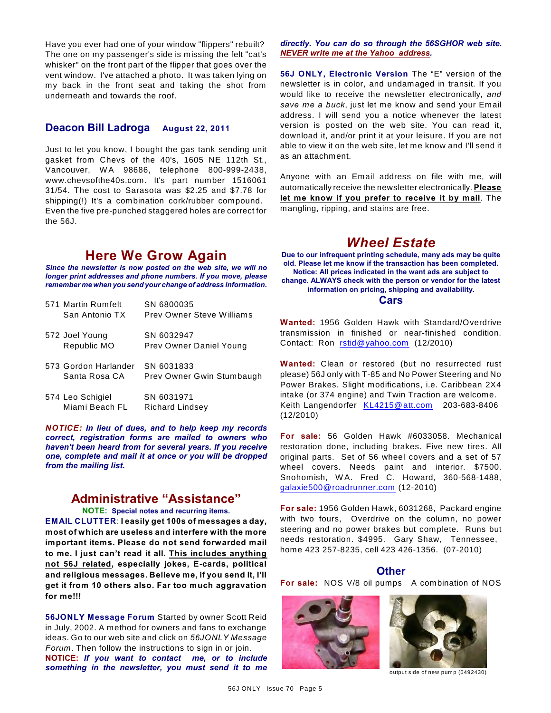Have you ever had one of your window "flippers" rebuilt? The one on my passenger's side is missing the felt "cat's whisker" on the front part of the flipper that goes over the vent window. I've attached a photo. It was taken lying on my back in the front seat and taking the shot from underneath and towards the roof.

### **Deacon Bill Ladroga August 22, 2011**

Just to let you know, I bought the gas tank sending unit gasket from Chevs of the 40's, 1605 NE 112th St., Vancouver, WA 98686, telephone 800-999-2438, www.chevsofthe40s.com. It's part number 1516061 31/54. The cost to Sarasota was \$2.25 and \$7.78 for shipping(!) It's a combination cork/rubber compound. Even the five pre-punched staggered holes are correct for the 56J.

# **Here We Grow Again**

*Since the newsletter is now posted on the web site, we will no longer print addresses and phone numbers. If you move, please remember me when you send your change of address information.*

| 571 Martin Rumfelt<br>San Antonio TX  | SN 6800035<br><b>Prev Owner Steve Williams</b> |
|---------------------------------------|------------------------------------------------|
| 572 Joel Young<br>Republic MO         | SN 6032947<br>Prev Owner Daniel Young          |
| 573 Gordon Harlander<br>Santa Rosa CA | SN 6031833<br>Prev Owner Gwin Stumbaugh        |
| 574 Leo Schigiel<br>Miami Beach FL    | SN 6031971<br><b>Richard Lindsev</b>           |

*NOTICE: In lieu of dues, and to help keep my records correct, registration forms are mailed to owners who haven't been heard from for several years. If you receive one, complete and mail it at once or you will be dropped from the mailing list.*

# **Administrative "Assistance"**

**NOTE: Special notes and recurring items. EMAIL CLUTTER**: **I easily get 100s of messages a day, most of which are useless and interfere with the more important items. Please do not send forwarded mail to me. I just can't read it all. This includes anything not 56J related, especially jokes, E-cards, political and religious messages. Believe me, if you send it, I'll get it from 10 others also. Far too much aggravation for me!!!**

**56JONLY Message Forum** Started by owner Scott Reid in July, 2002. A method for owners and fans to exchange ideas. Go to our web site and click on *56JONLY Message Forum*. Then follow the instructions to sign in or join. **NOTICE:** *If you want to contact me, or to include something in the newsletter, you must send it to me* *directly. You can do so through the 56SGHOR web site. NEVER write me at the Yahoo address.*

**56J ONLY, Electronic Version** The "E" version of the newsletter is in color, and undamaged in transit. If you would like to receive the newsletter electronically, *and save me a buck*, just let me know and send your Email address. I will send you a notice whenever the latest version is posted on the web site. You can read it, download it, and/or print it at your leisure. If you are not able to view it on the web site, let me know and I'll send it as an attachment.

Anyone with an Email address on file with me, will automatically receive the newsletter electronically. **Please let me know if you prefer to receive it by mail**. The mangling, ripping, and stains are free.

# *Wheel Estate*

**Due to our infrequent printing schedule, many ads may be quite old. Please let me know if the transaction has been completed. Notice: All prices indicated in the want ads are subject to change. ALWAYS check with the person or vendor for the latest information on pricing, shipping and availability. Cars**

**Wanted:** 1956 Golden Hawk with Standard/Overdrive transmission in finished or near-finished condition. Contact: Ron [rstid@yahoo.com](mailto:rstid@yahoo.com) (12/2010)

**Wanted:** Clean or restored (but no resurrected rust please) 56J only with T-85 and No Power Steering and No Power Brakes. Slight modifications, i.e. Caribbean 2X4 intake (or 374 engine) and Twin Traction are welcome. Keith Langendorfer [KL4215@att.com](mailto:KL4215@att.com) 203-683-8406 (12/2010)

**For sale:** 56 Golden Hawk #6033058. Mechanical restoration done, including brakes. Five new tires. All original parts. Set of 56 wheel covers and a set of 57 wheel covers. Needs paint and interior. \$7500. Snohomish, W A. Fred C. Howard, 360-568-1488, [galaxie500@roadrunner.com](mailto:galaxie500@roadrunner.com) (12-2010)

**For sale:** 1956 Golden Hawk, 6031268, Packard engine with two fours, Overdrive on the column, no power steering and no power brakes but complete. Runs but needs restoration. \$4995. Gary Shaw, Tennessee, home 423 257-8235, cell 423 426-1356. (07-2010)

#### **Other**

**For sale:** NOS V/8 oil pumps A combination of NOS





output side of new pump (6492430)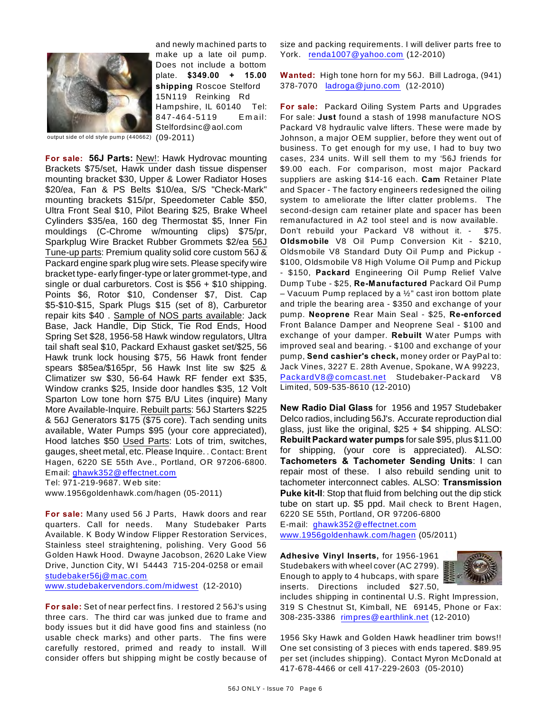

and newly machined parts to make up a late oil pump. Does not include a bottom plate. **\$349.00 + 15.00 shipping** Roscoe Stelford 15N119 Reinking Rd Hampshire, IL 60140 Tel: 847-464-5119 E m ail: Stelfordsinc@aol.com

output side of old style pump (440662)  $\,(09$ - $2011)$ 

**For sale: 56J Parts:** New!: Hawk Hydrovac mounting Brackets \$75/set, Hawk under dash tissue dispenser mounting bracket \$30, Upper & Lower Radiator Hoses \$20/ea, Fan & PS Belts \$10/ea, S/S "Check-Mark" mounting brackets \$15/pr, Speedometer Cable \$50, Ultra Front Seal \$10, Pilot Bearing \$25, Brake Wheel Cylinders \$35/ea, 160 deg Thermostat \$5, Inner Fin mouldings (C-Chrome w/mounting clips) \$75/pr, Sparkplug Wire Bracket Rubber Grommets \$2/ea 56J Tune-up parts: Premium quality solid core custom 56J & Packard engine spark plug wire sets. Please specify wire bracket type- early finger-type or later grommet-type, and single or dual carburetors. Cost is \$56 + \$10 shipping. Points \$6, Rotor \$10, Condenser \$7, Dist. Cap \$5-\$10-\$15, Spark Plugs \$15 (set of 8), Carburetor repair kits \$40 . Sample of NOS parts available: Jack Base, Jack Handle, Dip Stick, Tie Rod Ends, Hood Spring Set \$28, 1956-58 Hawk window regulators, Ultra tail shaft seal \$10, Packard Exhaust gasket set/\$25, 56 Hawk trunk lock housing \$75, 56 Hawk front fender spears \$85ea/\$165pr, 56 Hawk Inst lite sw \$25 & Climatizer sw \$30, 56-64 Hawk RF fender ext \$35, Window cranks \$25, Inside door handles \$35, 12 Volt Sparton Low tone horn \$75 B/U Lites (inquire) Many More Available-Inquire. Rebuilt parts: 56J Starters \$225 & 56J Generators \$175 (\$75 core). Tach sending units available, Water Pumps \$95 (your core appreciated), Hood latches \$50 Used Parts: Lots of trim, switches, gauges, sheet metal, etc. Please Inquire. . Contact: Brent Hagen, 6220 SE 55th Ave., Portland, OR 97206-6800. Email: [ghawk352@effectnet.com](mailto:ghawk352@effectnet.com)

Tel: 971-219-9687. W eb site:

www.1956goldenhawk.com/hagen (05-2011)

**For sale:** Many used 56 J Parts, Hawk doors and rear quarters. Call for needs. Many Studebaker Parts Available. K Body W indow Flipper Restoration Services, Stainless steel straightening, polishing. Very Good 56 Golden Hawk Hood. Dwayne Jacobson, 2620 Lake View Drive, Junction City, W1 54443 715-204-0258 or email [studebaker56j@mac.com](mailto:studebaker56j@mac.com) [www.studebakervendors.com/midwest](http://www.studebakervendors.com/midwest) (12-2010)

**For sale:** Set of near perfect fins. I restored 2 56J's using three cars. The third car was junked due to frame and body issues but it did have good fins and stainless (no usable check marks) and other parts. The fins were carefully restored, primed and ready to install. W ill consider offers but shipping might be costly because of size and packing requirements. I will deliver parts free to York. [renda1007@yahoo.com](mailto:renda1007@yahoo.com) (12-2010)

**Wanted:** High tone horn for my 56J. Bill Ladroga, (941) 378-7070 [ladroga@juno.com](mailto:ladroga@juno.com) (12-2010)

**For sale:** Packard Oiling System Parts and Upgrades For sale: **Just** found a stash of 1998 manufacture NOS Packard V8 hydraulic valve lifters. These were made by Johnson, a major OEM supplier, before they went out of business. To get enough for my use, I had to buy two cases, 234 units. W ill sell them to my '56J friends for \$9.00 each. For comparison, most major Packard suppliers are asking \$14-16 each. **Cam** Retainer Plate and Spacer - The factory engineers redesigned the oiling system to ameliorate the lifter clatter problems. The second-design cam retainer plate and spacer has been remanufactured in A2 tool steel and is now available. Don't rebuild your Packard V8 without it. - \$75. **Oldsmobile** V8 Oil Pump Conversion Kit - \$210, Oldsmobile V8 Standard Duty Oil Pump and Pickup - \$100, Oldsmobile V8 High Volume Oil Pump and Pickup - \$150, **Packard** Engineering Oil Pump Relief Valve Dump Tube - \$25, **Re-Manufactured** Packard Oil Pump – Vacuum Pump replaced by a  $\frac{1}{2}$ " cast iron bottom plate and triple the bearing area - \$350 and exchange of your pump. **Neoprene** Rear Main Seal - \$25, **Re-enforced** Front Balance Damper and Neoprene Seal - \$100 and exchange of your damper. **Rebuilt** W ater Pumps with improved seal and bearing. - \$100 and exchange of your pump, **Send cashier's check,** money order or PayPal to: Jack Vines, 3227 E. 28th Avenue, Spokane, W A 99223, [PackardV8@com cast.net](mailto:PackardV8@comcast.net) Studebaker-Packard V8 Limited, 509-535-8610 (12-2010)

**New Radio Dial Glass** for 1956 and 1957 Studebaker Delco radios, including 56J's. Accurate reproduction dial glass, just like the original,  $$25 + $4$  shipping. ALSO: **Rebuilt Packard water pumps** for sale \$95, plus \$11.00 for shipping, (your core is appreciated). ALSO: **Tachometers & Tachometer Sending Units**: I can repair most of these. I also rebuild sending unit to tachometer interconnect cables. ALSO: **Transmission Puke kit-II**: Stop that fluid from belching out the dip stick tube on start up. \$5 ppd. Mail check to Brent Hagen, 6220 SE 55th, Portland, OR 97206-6800 E-mail: [ghawk352@effectnet.com](mailto:ghawk352@effectnet.com)

[www.1956goldenhawk.com/hagen](http://www.1956goldenhawk.com/hagen) (05/2011)

**Adhesive Vinyl Inserts,** for 1956-1961 Studebakers with wheel cover (AC 2799). Enough to apply to 4 hubcaps, with spare inserts. Directions included \$27.50,



includes shipping in continental U.S. Right Impression, 319 S Chestnut St, Kimball, NE 69145, Phone or Fax: 308-235-3386 [rimpres@earthlink.net](mailto:rimpres@earthlink.net) (12-2010)

1956 Sky Hawk and Golden Hawk headliner trim bows!! One set consisting of 3 pieces with ends tapered. \$89.95 per set (includes shipping). Contact Myron McDonald at 417-678-4466 or cell 417-229-2603 (05-2010)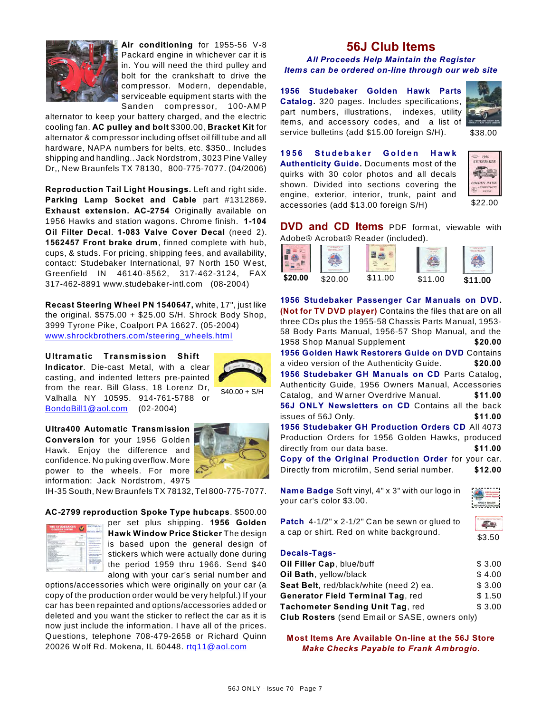

**Air conditioning** for 1955-56 V-8 Packard engine in whichever car it is in. You will need the third pulley and bolt for the crankshaft to drive the compressor. Modern, dependable, serviceable equipment starts with the Sanden compressor, 100-AMP

alternator to keep your battery charged, and the electric cooling fan. **AC pulley and bolt** \$300.00, **Bracket Kit** for alternator & compressor including offset oil fill tube and all hardware, NAPA numbers for belts, etc. \$350.. Includes shipping and handling.. Jack Nordstrom, 3023 Pine Valley Dr,, New Braunfels TX 78130, 800-775-7077. (04/2006)

**Reproduction Tail Light Housings.** Left and right side. **Parking Lamp Socket and Cable** part #1312869**. Exhaust extension. AC-2754** Originally available on 1956 Hawks and station wagons. Chrome finish. **1-104 Oil Filter Decal**. **1-083 Valve Cover Decal** (need 2). **1562457 Front brake drum**, finned complete with hub, cups, & studs. For pricing, shipping fees, and availability, contact: Studebaker International, 97 North 150 W est, Greenfield IN 46140-8562, 317-462-3124, FAX 317-462-8891 www.studebaker-intl.com (08-2004)

**Recast Steering Wheel PN 1540647,** white, 17", just like the original. \$575.00 + \$25.00 S/H. Shrock Body Shop, 3999 Tyrone Pike, Coalport PA 16627. (05-2004) [www.shrockbrothers.com/steering\\_wheels.html](http://www.shrockbrothers.com/steering_wheels.html)

**Ultram atic Transm ission Shift Indicator**. Die-cast Metal, with a clear casting, and indented letters pre-painted from the rear. Bill Glass, 18 Lorenz Dr, Valhalla NY 10595. 914-761-5788 or [BondoBill1@aol.com](mailto:BondoBill1@aol.com) (02-2004)

**Ultra400 Automatic Transmission Conversion** for your 1956 Golden Hawk. Enjoy the difference and confidence. No puking overflow. More power to the wheels. For more  $\triangle$ information: Jack Nordstrom, 4975



 $$40.00 + S/H$ 

IH-35 South, New Braunfels TX 78132, Tel 800-775-7077.

**AC-2799 reproduction Spoke Type hubcaps**. \$500.00



per set plus shipping. **1956 Golden Hawk Window Price Sticker** The design is based upon the general design of stickers which were actually done during the period 1959 thru 1966. Send \$40 along with your car's serial number and

options/accessories which were originally on your car (a copy of the production order would be very helpful.) If your car has been repainted and options/accessories added or deleted and you want the sticker to reflect the car as it is now just include the information. I have all of the prices. Questions, telephone 708-479-2658 or Richard Quinn 20026 W olf Rd. Mokena, IL 60448. [rtq11@aol.com](mailto:rtq11@aol.com)

# **56J Club Items**

#### *All Proceeds Help Maintain the Register Items can be ordered on-line through our web site*

**1956 Studebaker Golden Hawk Parts Catalog.** 320 pages. Includes specifications, part numbers, illustrations, indexes, utility items, and accessory codes, and a list of service bulletins (add \$15.00 foreign S/H).



\$38.00

**1956 Studebaker Golden Hawk Authenticity Guide.** Documents most of the quirks with 30 color photos and all decals shown. Divided into sections covering the engine, exterior, interior, trunk, paint and accessories (add \$13.00 foreign S/H)



**DVD and CD Items** PDF format, viewable with Adobe® Acrobat® Reader (included).

| \$20.00 | \$20.00 | \$11.00 | \$11.00 | \$11.00 |
|---------|---------|---------|---------|---------|
|         |         |         |         |         |

**1956 Studebaker Passenger Car Manuals on DVD. (Not for TV DVD player)** Contains the files that are on all three CDs plus the 1955-58 Chassis Parts Manual, 1953- 58 Body Parts Manual, 1956-57 Shop Manual, and the 1958 Shop Manual Supplement **\$20.00 1956 Golden Hawk Restorers Guide on DVD** Contains a video version of the Authenticity Guide. **\$20.00 1956 Studebaker GH Manuals on CD** Parts Catalog, Authenticity Guide, 1956 Owners Manual, Accessories Catalog, and W arner Overdrive Manual. **\$11.00 56J ONLY Newsletters on CD** Contains all the back issues of 56J Only. **\$11.00 1956 Studebaker GH Production Orders CD** All 4073 Production Orders for 1956 Golden Hawks, produced directly from our data base. **\$11.00 Copy of the Original Production Order** for your car. Directly from microfilm, Send serial number. **\$12.00**

**Name Badge** Soft vinyl, 4" x 3" with our logo in your car's color \$3.00.



\$3.50

 $(1, 0)$ 

**Patch** 4-1/2" x 2-1/2" Can be sewn or glued to a cap or shirt. Red on white background.

#### **Decals-Tags-**

| Oil Filler Cap, blue/buff                             | \$3.00 |
|-------------------------------------------------------|--------|
| Oil Bath, yellow/black                                | \$4.00 |
| Seat Belt, red/black/white (need 2) ea.               | \$3.00 |
| <b>Generator Field Terminal Tag, red</b>              | \$1.50 |
| Tachometer Sending Unit Tag, red                      | \$3.00 |
| <b>Club Rosters</b> (send Email or SASE, owners only) |        |

**Most Items Are Available On-line at the 56J Store** *Make Checks Payable to Frank Ambrogio.*